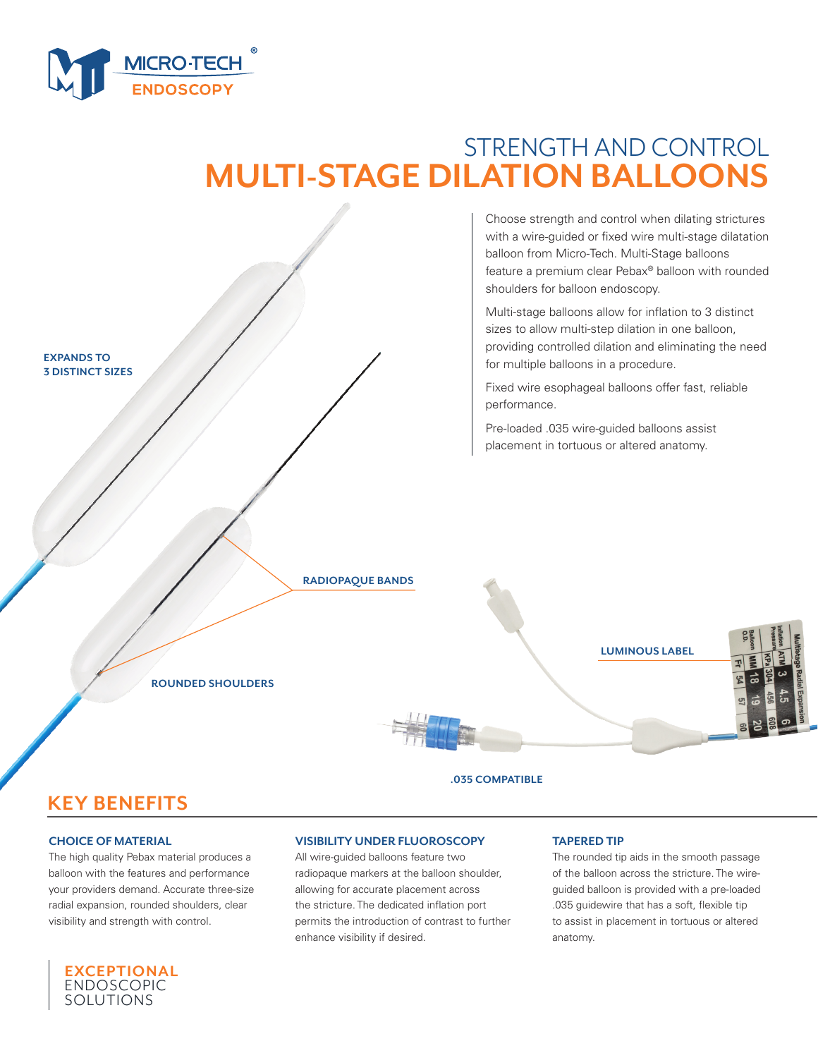

# STRENGTH AND CONTROL **MULTI-STAGE DILATION BALLOONS**

Choose strength and control when dilating strictures with a wire-guided or fixed wire multi-stage dilatation balloon from Micro-Tech. Multi-Stage balloons feature a premium clear Pebax® balloon with rounded shoulders for balloon endoscopy.

Multi-stage balloons allow for inflation to 3 distinct sizes to allow multi-step dilation in one balloon, providing controlled dilation and eliminating the need for multiple balloons in a procedure.

Fixed wire esophageal balloons offer fast, reliable performance.

Pre-loaded .035 wire-guided balloons assist placement in tortuous or altered anatomy.

#### **RADIOPAQUE BANDS**





**ROUNDED SHOULDERS**

**.035 COMPATIBLE**

# **KEY BENEFITS**

### **CHOICE OF MATERIAL**

**EXPANDS TO 3 DISTINCT SIZES**

The high quality Pebax material produces a balloon with the features and performance your providers demand. Accurate three-size radial expansion, rounded shoulders, clear visibility and strength with control.



### **VISIBILITY UNDER FLUOROSCOPY**

All wire-guided balloons feature two radiopaque markers at the balloon shoulder, allowing for accurate placement across the stricture. The dedicated inflation port permits the introduction of contrast to further enhance visibility if desired.

#### **TAPERED TIP**

The rounded tip aids in the smooth passage of the balloon across the stricture. The wireguided balloon is provided with a pre-loaded .035 guidewire that has a soft, flexible tip to assist in placement in tortuous or altered anatomy.